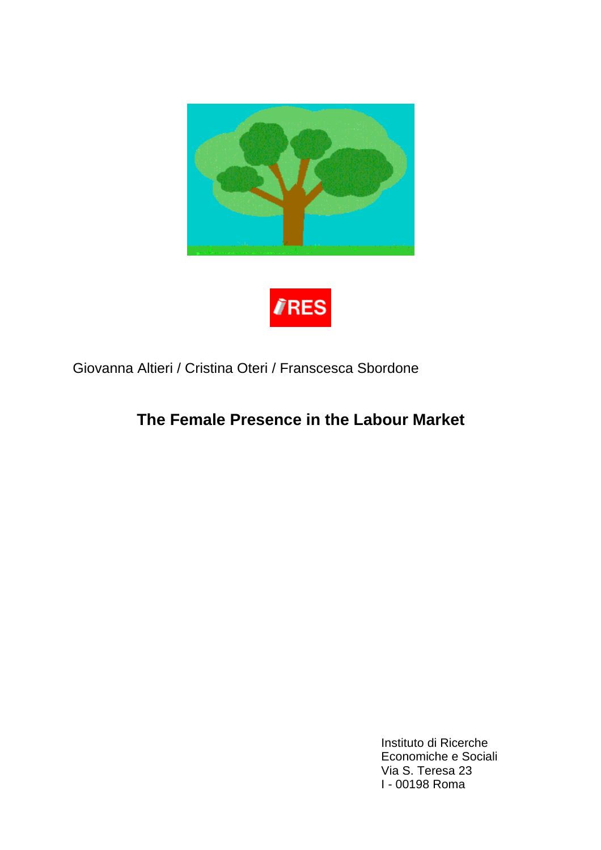

# **TRES**

# Giovanna Altieri / Cristina Oteri / Franscesca Sbordone

# **The Female Presence in the Labour Market**

Instituto di Ricerche Economiche e Sociali Via S. Teresa 23 I - 00198 Roma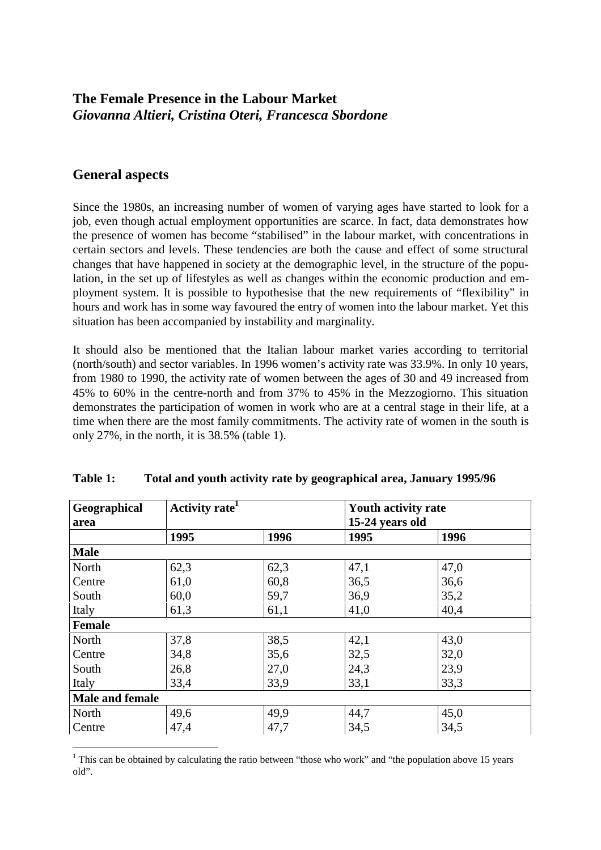# **The Female Presence in the Labour Market** *Giovanna Altieri, Cristina Oteri, Francesca Sbordone*

# **General aspects**

-------------------------------------------

Since the 1980s, an increasing number of women of varying ages have started to look for a job, even though actual employment opportunities are scarce. In fact, data demonstrates how the presence of women has become "stabilised" in the labour market, with concentrations in certain sectors and levels. These tendencies are both the cause and effect of some structural changes that have happened in society at the demographic level, in the structure of the population, in the set up of lifestyles as well as changes within the economic production and employment system. It is possible to hypothesise that the new requirements of "flexibility" in hours and work has in some way favoured the entry of women into the labour market. Yet this situation has been accompanied by instability and marginality.

It should also be mentioned that the Italian labour market varies according to territorial (north/south) and sector variables. In 1996 women's activity rate was 33.9%. In only 10 years, from 1980 to 1990, the activity rate of women between the ages of 30 and 49 increased from 45% to 60% in the centre-north and from 37% to 45% in the Mezzogiorno. This situation demonstrates the participation of women in work who are at a central stage in their life, at a time when there are the most family commitments. The activity rate of women in the south is only 27%, in the north, it is 38.5% (table 1).

| Geographical           | Activity rate <sup>1</sup> |      | <b>Youth activity rate</b> |      |  |  |
|------------------------|----------------------------|------|----------------------------|------|--|--|
| area                   |                            |      | 15-24 years old            |      |  |  |
|                        | 1995                       | 1996 | 1995                       | 1996 |  |  |
| <b>Male</b>            |                            |      |                            |      |  |  |
| North                  | 62,3                       | 62,3 | 47,1                       | 47,0 |  |  |
| Centre                 | 61,0                       | 60,8 | 36,5                       | 36,6 |  |  |
| South                  | 60,0                       | 59,7 | 36,9                       | 35,2 |  |  |
| Italy                  | 61,3                       | 61,1 | 41,0                       | 40,4 |  |  |
| <b>Female</b>          |                            |      |                            |      |  |  |
| North                  | 37,8                       | 38,5 | 42,1                       | 43,0 |  |  |
| Centre                 | 34,8                       | 35,6 | 32,5                       | 32,0 |  |  |
| South                  | 26,8                       | 27,0 | 24,3                       | 23,9 |  |  |
| Italy                  | 33,4                       | 33,9 | 33,1                       | 33,3 |  |  |
| <b>Male and female</b> |                            |      |                            |      |  |  |
| North                  | 49,6                       | 49,9 | 44,7                       | 45,0 |  |  |
| Centre                 | 47,4                       | 47,7 | 34,5                       | 34,5 |  |  |

**Table 1: Total and youth activity rate by geographical area, January 1995/96**

<sup>1</sup> This can be obtained by calculating the ratio between "those who work" and "the population above 15 years old".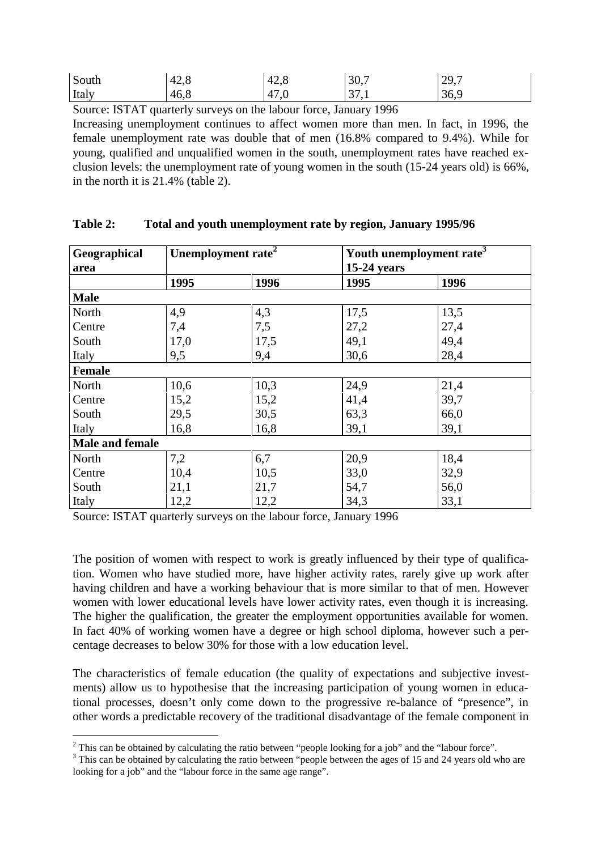| South | 42,8 | 42,8 | 30,7         | 129,7 |
|-------|------|------|--------------|-------|
| Italy | 46,8 | 47,0 | 371<br>-71.1 | 36,9  |

Source: ISTAT quarterly surveys on the labour force, January 1996

Increasing unemployment continues to affect women more than men. In fact, in 1996, the female unemployment rate was double that of men (16.8% compared to 9.4%). While for young, qualified and unqualified women in the south, unemployment rates have reached exclusion levels: the unemployment rate of young women in the south (15-24 years old) is 66%, in the north it is 21.4% (table 2).

| Geographical<br>area | Unemployment rate <sup>2</sup> |      | $15-24$ years | Youth unemployment rate <sup>3</sup> |
|----------------------|--------------------------------|------|---------------|--------------------------------------|
|                      | 1995                           | 1996 | 1995          | 1996                                 |
| <b>Male</b>          |                                |      |               |                                      |
| North                | 4,9                            | 4,3  | 17,5          | 13,5                                 |
| Centre               | 7,4                            | 7,5  | 27,2          | 27,4                                 |
| South                | 17,0                           | 17,5 | 49,1          | 49,4                                 |
| Italy                | 9,5                            | 9,4  | 30,6          | 28,4                                 |
| <b>Female</b>        |                                |      |               |                                      |
| North                | 10,6                           | 10,3 | 24,9          | 21,4                                 |
| Centre               | 15,2                           | 15,2 | 41,4          | 39,7                                 |
| South                | 29,5                           | 30,5 | 63,3          | 66,0                                 |
| Italy                | 16,8                           | 16,8 | 39,1          | 39,1                                 |
| Male and female      |                                |      |               |                                      |
| North                | 7,2                            | 6,7  | 20,9          | 18,4                                 |
| Centre               | 10,4                           | 10,5 | 33,0          | 32,9                                 |
| South                | 21,1                           | 21,7 | 54,7          | 56,0                                 |
| Italy                | 12,2                           | 12,2 | 34,3          | 33,1                                 |

#### **Table 2: Total and youth unemployment rate by region, January 1995/96**

Source: ISTAT quarterly surveys on the labour force, January 1996

-------------------------------------------

The position of women with respect to work is greatly influenced by their type of qualification. Women who have studied more, have higher activity rates, rarely give up work after having children and have a working behaviour that is more similar to that of men. However women with lower educational levels have lower activity rates, even though it is increasing. The higher the qualification, the greater the employment opportunities available for women. In fact 40% of working women have a degree or high school diploma, however such a percentage decreases to below 30% for those with a low education level.

The characteristics of female education (the quality of expectations and subjective investments) allow us to hypothesise that the increasing participation of young women in educational processes, doesn't only come down to the progressive re-balance of "presence", in other words a predictable recovery of the traditional disadvantage of the female component in

<sup>&</sup>lt;sup>2</sup> This can be obtained by calculating the ratio between "people looking for a job" and the "labour force".

 $3$  This can be obtained by calculating the ratio between "people between the ages of 15 and 24 years old who are looking for a job" and the "labour force in the same age range".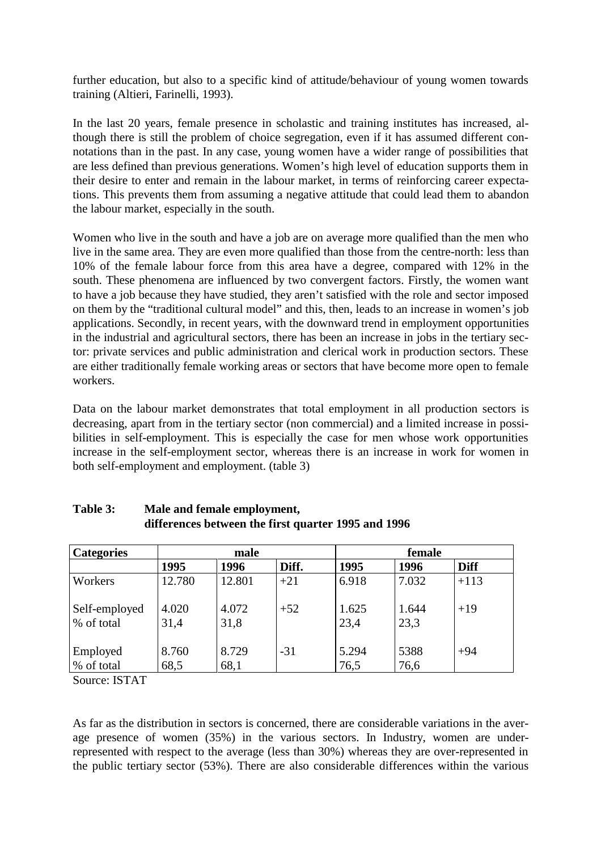further education, but also to a specific kind of attitude/behaviour of young women towards training (Altieri, Farinelli, 1993).

In the last 20 years, female presence in scholastic and training institutes has increased, although there is still the problem of choice segregation, even if it has assumed different connotations than in the past. In any case, young women have a wider range of possibilities that are less defined than previous generations. Women's high level of education supports them in their desire to enter and remain in the labour market, in terms of reinforcing career expectations. This prevents them from assuming a negative attitude that could lead them to abandon the labour market, especially in the south.

Women who live in the south and have a job are on average more qualified than the men who live in the same area. They are even more qualified than those from the centre-north: less than 10% of the female labour force from this area have a degree, compared with 12% in the south. These phenomena are influenced by two convergent factors. Firstly, the women want to have a job because they have studied, they aren't satisfied with the role and sector imposed on them by the "traditional cultural model" and this, then, leads to an increase in women's job applications. Secondly, in recent years, with the downward trend in employment opportunities in the industrial and agricultural sectors, there has been an increase in jobs in the tertiary sector: private services and public administration and clerical work in production sectors. These are either traditionally female working areas or sectors that have become more open to female workers.

Data on the labour market demonstrates that total employment in all production sectors is decreasing, apart from in the tertiary sector (non commercial) and a limited increase in possibilities in self-employment. This is especially the case for men whose work opportunities increase in the self-employment sector, whereas there is an increase in work for women in both self-employment and employment. (table 3)

| <b>Categories</b>           | male          |               |       | female        |               |             |
|-----------------------------|---------------|---------------|-------|---------------|---------------|-------------|
|                             | 1995          | 1996          | Diff. | 1995          | 1996          | <b>Diff</b> |
| Workers                     | 12.780        | 12.801        | $+21$ | 6.918         | 7.032         | $+113$      |
| Self-employed<br>% of total | 4.020<br>31,4 | 4.072<br>31,8 | $+52$ | 1.625<br>23,4 | 1.644<br>23,3 | $+19$       |
| Employed<br>% of total      | 8.760<br>68,5 | 8.729<br>68,1 | $-31$ | 5.294<br>76,5 | 5388<br>76,6  | $+94$       |

#### **Table 3: Male and female employment, differences between the first quarter 1995 and 1996**

Source: ISTAT

As far as the distribution in sectors is concerned, there are considerable variations in the average presence of women (35%) in the various sectors. In Industry, women are underrepresented with respect to the average (less than 30%) whereas they are over-represented in the public tertiary sector (53%). There are also considerable differences within the various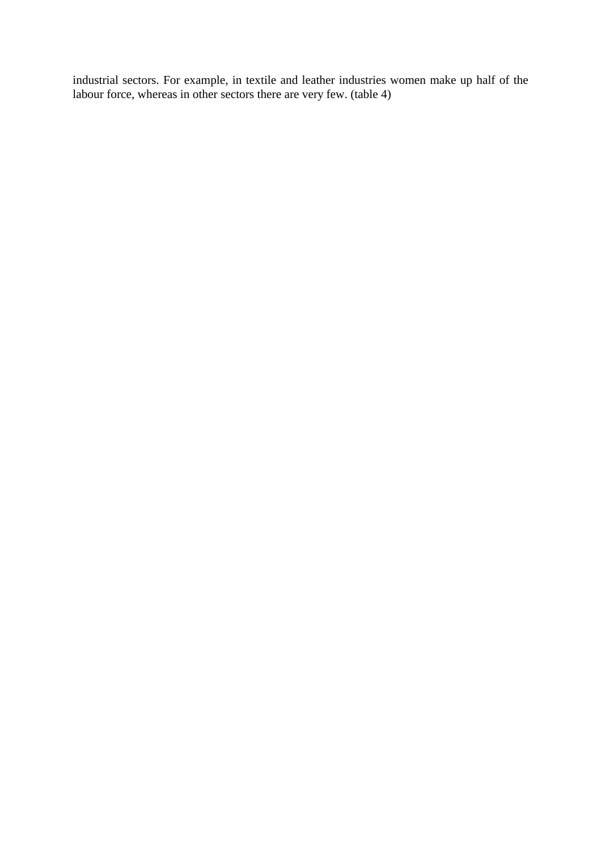industrial sectors. For example, in textile and leather industries women make up half of the labour force, whereas in other sectors there are very few. (table 4)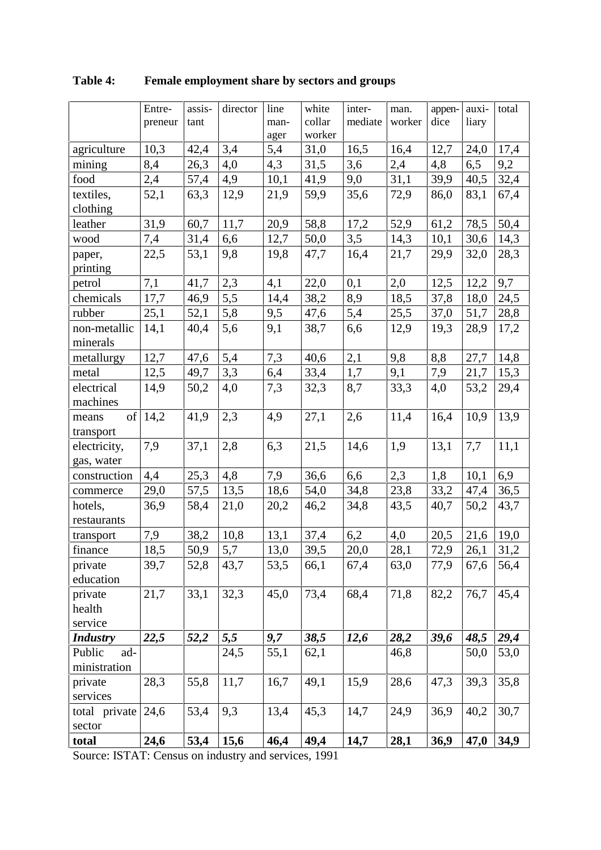|                    | Entre-  | assis- | director | line | white  | inter-  | man.   | appen- | auxi- | total |
|--------------------|---------|--------|----------|------|--------|---------|--------|--------|-------|-------|
|                    | preneur | tant   |          | man- | collar | mediate | worker | dice   | liary |       |
|                    |         |        |          | ager | worker |         |        |        |       |       |
| agriculture        | 10,3    | 42,4   | 3,4      | 5,4  | 31,0   | 16,5    | 16,4   | 12,7   | 24,0  | 17,4  |
| mining             | 8,4     | 26,3   | 4,0      | 4,3  | 31,5   | 3,6     | 2,4    | 4,8    | 6,5   | 9,2   |
| food               | 2,4     | 57,4   | 4,9      | 10,1 | 41,9   | 9,0     | 31,1   | 39,9   | 40,5  | 32,4  |
| textiles,          | 52,1    | 63,3   | 12,9     | 21,9 | 59,9   | 35,6    | 72,9   | 86,0   | 83,1  | 67,4  |
| clothing           |         |        |          |      |        |         |        |        |       |       |
| leather            | 31,9    | 60,7   | 11,7     | 20,9 | 58,8   | 17,2    | 52,9   | 61,2   | 78,5  | 50,4  |
| wood               | 7,4     | 31,4   | 6,6      | 12,7 | 50,0   | 3,5     | 14,3   | 10,1   | 30,6  | 14,3  |
| paper,<br>printing | 22,5    | 53,1   | 9,8      | 19,8 | 47,7   | 16,4    | 21,7   | 29,9   | 32,0  | 28,3  |
| petrol             | 7,1     | 41,7   | 2,3      | 4,1  | 22,0   | 0,1     | 2,0    | 12,5   | 12,2  | 9,7   |
| chemicals          | 17,7    | 46,9   | 5,5      | 14,4 | 38,2   | 8,9     | 18,5   | 37,8   | 18,0  | 24,5  |
| rubber             | 25,1    | 52,1   | 5,8      | 9,5  | 47,6   | 5,4     | 25,5   | 37,0   | 51,7  | 28,8  |
| non-metallic       | 14,1    | 40,4   | 5,6      | 9,1  | 38,7   | 6,6     | 12,9   | 19,3   | 28,9  | 17,2  |
| minerals           |         |        |          |      |        |         |        |        |       |       |
| metallurgy         | 12,7    | 47,6   | 5,4      | 7,3  | 40,6   | 2,1     | 9,8    | 8,8    | 27,7  | 14,8  |
| metal              | 12,5    | 49,7   | 3,3      | 6,4  | 33,4   | 1,7     | 9,1    | 7,9    | 21,7  | 15,3  |
| electrical         | 14,9    | 50,2   | 4,0      | 7,3  | 32,3   | 8,7     | 33,3   | 4,0    | 53,2  | 29,4  |
| machines           |         |        |          |      |        |         |        |        |       |       |
| of<br>means        | 14,2    | 41,9   | 2,3      | 4,9  | 27,1   | 2,6     | 11,4   | 16,4   | 10,9  | 13,9  |
| transport          |         |        |          |      |        |         |        |        |       |       |
| electricity,       | 7,9     | 37,1   | 2,8      | 6,3  | 21,5   | 14,6    | 1,9    | 13,1   | 7,7   | 11,1  |
| gas, water         |         |        |          |      |        |         |        |        |       |       |
| construction       | 4,4     | 25,3   | 4,8      | 7,9  | 36,6   | 6,6     | 2,3    | 1,8    | 10,1  | 6,9   |
| commerce           | 29,0    | 57,5   | 13,5     | 18,6 | 54,0   | 34,8    | 23,8   | 33,2   | 47,4  | 36,5  |
| hotels,            | 36,9    | 58,4   | 21,0     | 20,2 | 46,2   | 34,8    | 43,5   | 40,7   | 50,2  | 43,7  |
| restaurants        |         |        |          |      |        |         |        |        |       |       |
| transport          | 7,9     | 38,2   | 10,8     | 13,1 | 37,4   | 6,2     | 4,0    | 20,5   | 21,6  | 19,0  |
| finance            | 18.5    | 50.9   | 5.7      | 13,0 | 39,5   | 20,0    | 28.1   | 72.9   | 26.1  | 31.2  |
| private            | 39,7    | 52,8   | 43,7     | 53,5 | 66,1   | 67,4    | 63,0   | 77,9   | 67,6  | 56,4  |
| education          |         |        |          |      |        |         |        |        |       |       |
| private            | 21,7    | 33,1   | 32,3     | 45,0 | 73,4   | 68,4    | 71,8   | 82,2   | 76,7  | 45,4  |
| health             |         |        |          |      |        |         |        |        |       |       |
| service            |         |        |          |      |        |         |        |        |       |       |
| <b>Industry</b>    | 22,5    | 52,2   | 5,5      | 9,7  | 38,5   | 12,6    | 28,2   | 39,6   | 48,5  | 29,4  |
| Public<br>ad-      |         |        | 24,5     | 55,1 | 62,1   |         | 46,8   |        | 50,0  | 53,0  |
| ministration       |         |        |          |      |        |         |        |        |       |       |
| private            | 28,3    | 55,8   | 11,7     | 16,7 | 49,1   | 15,9    | 28,6   | 47,3   | 39,3  | 35,8  |
| services           |         |        |          |      |        |         |        |        |       |       |
| total private      | 24,6    | 53,4   | 9,3      | 13,4 | 45,3   | 14,7    | 24,9   | 36,9   | 40,2  | 30,7  |
| sector             |         |        |          |      |        |         |        |        |       |       |
| total              | 24,6    | 53,4   | 15,6     | 46,4 | 49,4   | 14,7    | 28,1   | 36,9   | 47,0  | 34,9  |

**Table 4: Female employment share by sectors and groups**

Source: ISTAT: Census on industry and services, 1991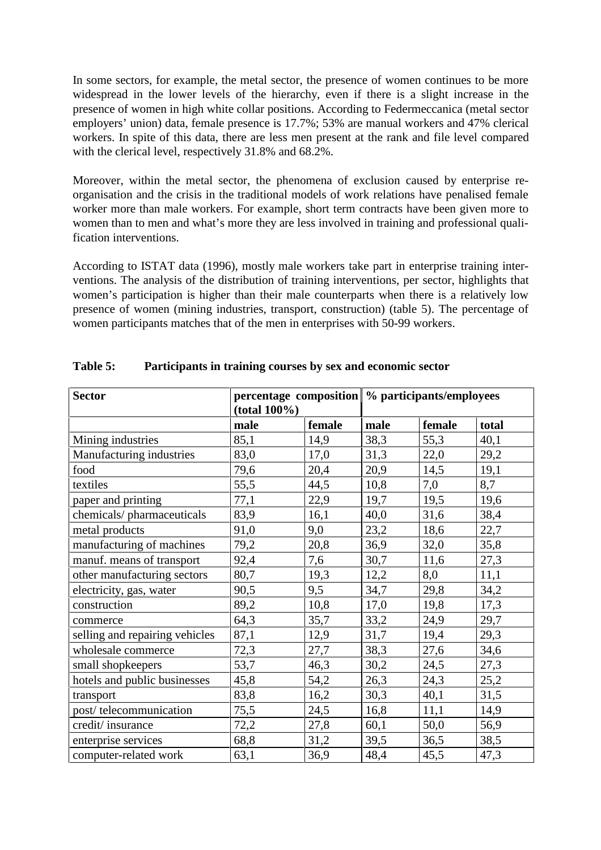In some sectors, for example, the metal sector, the presence of women continues to be more widespread in the lower levels of the hierarchy, even if there is a slight increase in the presence of women in high white collar positions. According to Federmeccanica (metal sector employers' union) data, female presence is 17.7%; 53% are manual workers and 47% clerical workers. In spite of this data, there are less men present at the rank and file level compared with the clerical level, respectively 31.8% and 68.2%.

Moreover, within the metal sector, the phenomena of exclusion caused by enterprise reorganisation and the crisis in the traditional models of work relations have penalised female worker more than male workers. For example, short term contracts have been given more to women than to men and what's more they are less involved in training and professional qualification interventions.

According to ISTAT data (1996), mostly male workers take part in enterprise training interventions. The analysis of the distribution of training interventions, per sector, highlights that women's participation is higher than their male counterparts when there is a relatively low presence of women (mining industries, transport, construction) (table 5). The percentage of women participants matches that of the men in enterprises with 50-99 workers.

| <b>Sector</b>                  | $(total 100\%)$ |        | percentage composition   % participants/employees |        |       |
|--------------------------------|-----------------|--------|---------------------------------------------------|--------|-------|
|                                | male            | female | male                                              | female | total |
| Mining industries              | 85,1            | 14,9   | 38,3                                              | 55,3   | 40,1  |
| Manufacturing industries       | 83,0            | 17,0   | 31,3                                              | 22,0   | 29,2  |
| food                           | 79,6            | 20,4   | 20,9                                              | 14,5   | 19,1  |
| textiles                       | 55,5            | 44,5   | 10,8                                              | 7,0    | 8,7   |
| paper and printing             | 77,1            | 22,9   | 19,7                                              | 19,5   | 19,6  |
| chemicals/pharmaceuticals      | 83,9            | 16,1   | 40,0                                              | 31,6   | 38,4  |
| metal products                 | 91,0            | 9,0    | 23,2                                              | 18,6   | 22,7  |
| manufacturing of machines      | 79,2            | 20,8   | 36,9                                              | 32,0   | 35,8  |
| manuf. means of transport      | 92,4            | 7,6    | 30,7                                              | 11,6   | 27,3  |
| other manufacturing sectors    | 80,7            | 19,3   | 12,2                                              | 8,0    | 11,1  |
| electricity, gas, water        | 90,5            | 9,5    | 34,7                                              | 29,8   | 34,2  |
| construction                   | 89,2            | 10,8   | 17,0                                              | 19,8   | 17,3  |
| commerce                       | 64,3            | 35,7   | 33,2                                              | 24,9   | 29,7  |
| selling and repairing vehicles | 87,1            | 12,9   | 31,7                                              | 19,4   | 29,3  |
| wholesale commerce             | 72,3            | 27,7   | 38,3                                              | 27,6   | 34,6  |
| small shopkeepers              | 53,7            | 46,3   | 30,2                                              | 24,5   | 27,3  |
| hotels and public businesses   | 45,8            | 54,2   | 26,3                                              | 24,3   | 25,2  |
| transport                      | 83,8            | 16,2   | 30,3                                              | 40,1   | 31,5  |
| post/telecommunication         | 75,5            | 24,5   | 16,8                                              | 11,1   | 14,9  |
| credit/insurance               | 72,2            | 27,8   | 60,1                                              | 50,0   | 56,9  |
| enterprise services            | 68,8            | 31,2   | 39,5                                              | 36,5   | 38,5  |
| computer-related work          | 63,1            | 36,9   | 48,4                                              | 45,5   | 47,3  |

#### **Table 5: Participants in training courses by sex and economic sector**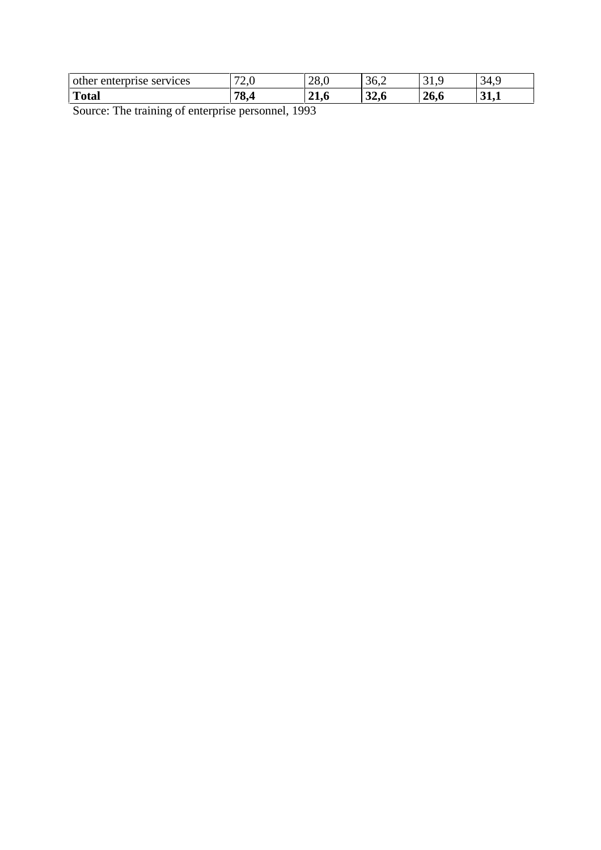| other enterprise services | $\mathbf{z}$<br>$\sim$ | 28,0           | 36,2                 | ريدت | 34<br>т.<br>ັ |
|---------------------------|------------------------|----------------|----------------------|------|---------------|
| <b>Total</b>              | 70<br>70.4             | $\sim$<br>41.0 | $\mathbf{A}$<br>34.0 | 26,6 | U⊥⊶⊥          |

Source: The training of enterprise personnel, 1993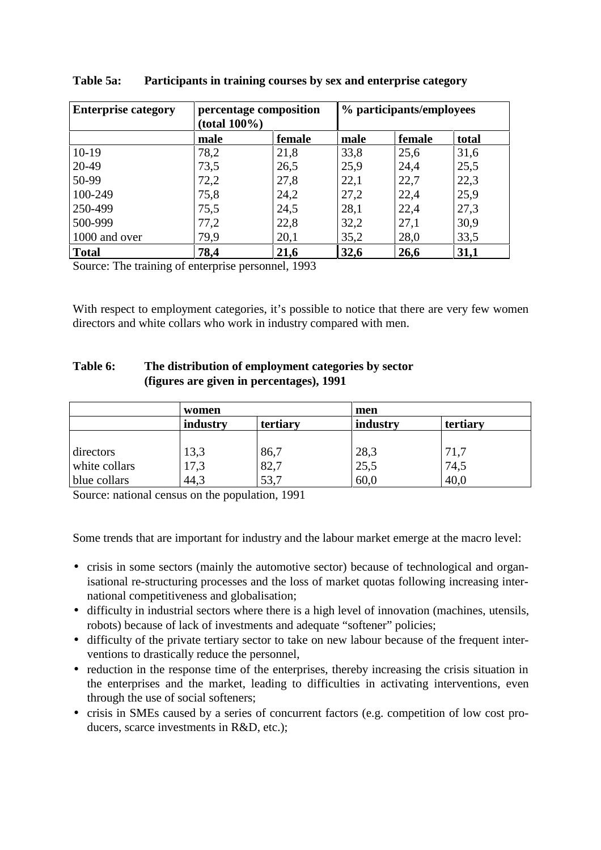| <b>Enterprise category</b> | percentage composition<br>$(total 100\%)$ |        | % participants/employees |        |       |
|----------------------------|-------------------------------------------|--------|--------------------------|--------|-------|
|                            | male                                      | female | male                     | female | total |
| $10-19$                    | 78,2                                      | 21,8   | 33,8                     | 25,6   | 31,6  |
| 20-49                      | 73,5                                      | 26,5   | 25,9                     | 24,4   | 25,5  |
| 50-99                      | 72,2                                      | 27,8   | 22,1                     | 22,7   | 22,3  |
| 100-249                    | 75,8                                      | 24,2   | 27,2                     | 22,4   | 25,9  |
| 250-499                    | 75,5                                      | 24,5   | 28,1                     | 22,4   | 27,3  |
| 500-999                    | 77,2                                      | 22,8   | 32,2                     | 27,1   | 30,9  |
| 1000 and over              | 79,9                                      | 20,1   | 35,2                     | 28,0   | 33,5  |
| <b>Total</b>               | 78,4                                      | 21,6   | 32,6                     | 26,6   | 31,1  |

#### **Table 5a: Participants in training courses by sex and enterprise category**

Source: The training of enterprise personnel, 1993

With respect to employment categories, it's possible to notice that there are very few women directors and white collars who work in industry compared with men.

#### **Table 6: The distribution of employment categories by sector (figures are given in percentages), 1991**

|               | women                |      | men      |          |
|---------------|----------------------|------|----------|----------|
|               | industry<br>tertiary |      | industry | tertiary |
|               |                      |      |          |          |
| directors     | 13,3                 | 86,7 | 28,3     | 71,7     |
| white collars | 17,3                 | 82,7 | 25,5     | 74,5     |
| blue collars  | 44,3                 | 53,7 | 60,0     | 40,0     |

Source: national census on the population, 1991

Some trends that are important for industry and the labour market emerge at the macro level:

- crisis in some sectors (mainly the automotive sector) because of technological and organisational re-structuring processes and the loss of market quotas following increasing international competitiveness and globalisation;
- difficulty in industrial sectors where there is a high level of innovation (machines, utensils, robots) because of lack of investments and adequate "softener" policies;
- difficulty of the private tertiary sector to take on new labour because of the frequent interventions to drastically reduce the personnel,
- reduction in the response time of the enterprises, thereby increasing the crisis situation in the enterprises and the market, leading to difficulties in activating interventions, even through the use of social softeners;
- crisis in SMEs caused by a series of concurrent factors (e.g. competition of low cost producers, scarce investments in R&D, etc.);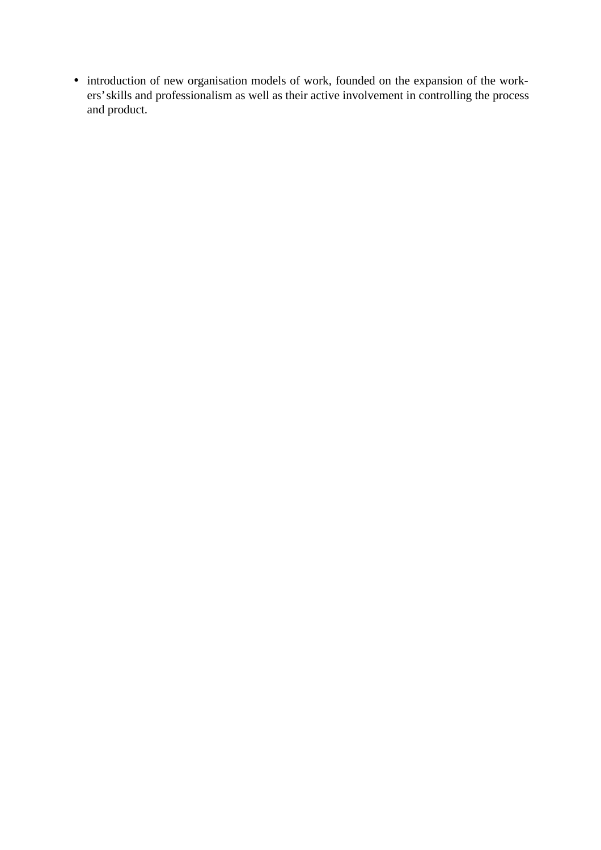• introduction of new organisation models of work, founded on the expansion of the workers' skills and professionalism as well as their active involvement in controlling the process and product.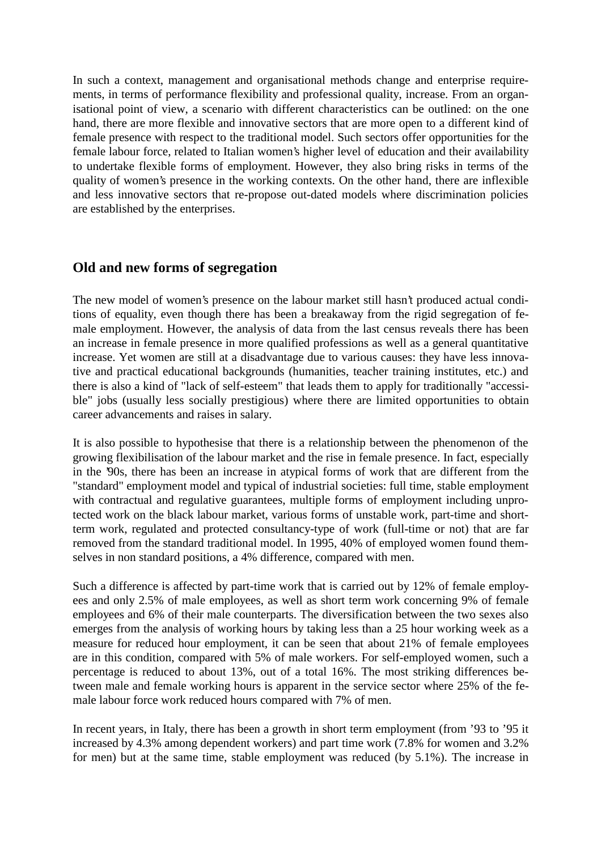In such a context, management and organisational methods change and enterprise requirements, in terms of performance flexibility and professional quality, increase. From an organisational point of view, a scenario with different characteristics can be outlined: on the one hand, there are more flexible and innovative sectors that are more open to a different kind of female presence with respect to the traditional model. Such sectors offer opportunities for the female labour force, related to Italian women's higher level of education and their availability to undertake flexible forms of employment. However, they also bring risks in terms of the quality of women's presence in the working contexts. On the other hand, there are inflexible and less innovative sectors that re-propose out-dated models where discrimination policies are established by the enterprises.

## **Old and new forms of segregation**

The new model of women's presence on the labour market still hasn't produced actual conditions of equality, even though there has been a breakaway from the rigid segregation of female employment. However, the analysis of data from the last census reveals there has been an increase in female presence in more qualified professions as well as a general quantitative increase. Yet women are still at a disadvantage due to various causes: they have less innovative and practical educational backgrounds (humanities, teacher training institutes, etc.) and there is also a kind of "lack of self-esteem" that leads them to apply for traditionally "accessible" jobs (usually less socially prestigious) where there are limited opportunities to obtain career advancements and raises in salary.

It is also possible to hypothesise that there is a relationship between the phenomenon of the growing flexibilisation of the labour market and the rise in female presence. In fact, especially in the '90s, there has been an increase in atypical forms of work that are different from the "standard" employment model and typical of industrial societies: full time, stable employment with contractual and regulative guarantees, multiple forms of employment including unprotected work on the black labour market, various forms of unstable work, part-time and shortterm work, regulated and protected consultancy-type of work (full-time or not) that are far removed from the standard traditional model. In 1995, 40% of employed women found themselves in non standard positions, a 4% difference, compared with men.

Such a difference is affected by part-time work that is carried out by 12% of female employees and only 2.5% of male employees, as well as short term work concerning 9% of female employees and 6% of their male counterparts. The diversification between the two sexes also emerges from the analysis of working hours by taking less than a 25 hour working week as a measure for reduced hour employment, it can be seen that about 21% of female employees are in this condition, compared with 5% of male workers. For self-employed women, such a percentage is reduced to about 13%, out of a total 16%. The most striking differences between male and female working hours is apparent in the service sector where 25% of the female labour force work reduced hours compared with 7% of men.

In recent years, in Italy, there has been a growth in short term employment (from '93 to '95 it increased by 4.3% among dependent workers) and part time work (7.8% for women and 3.2% for men) but at the same time, stable employment was reduced (by 5.1%). The increase in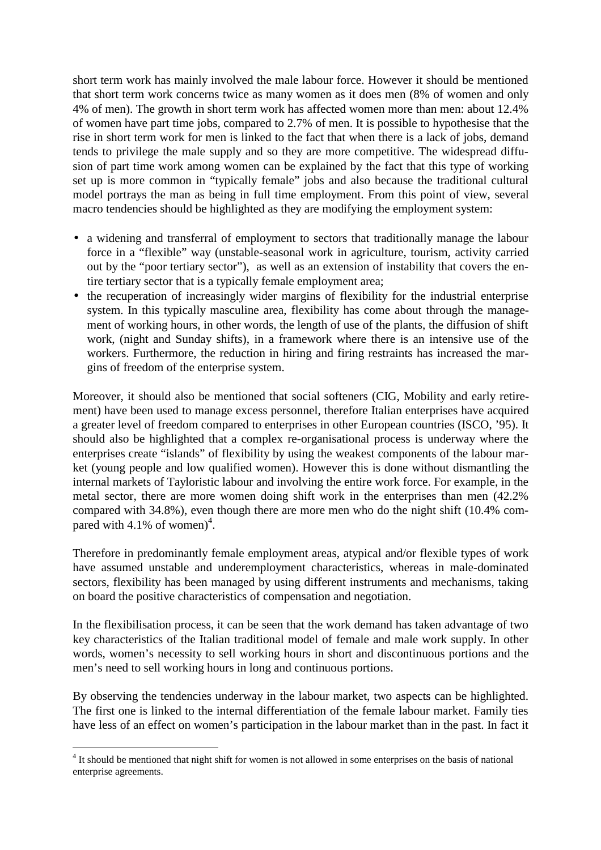short term work has mainly involved the male labour force. However it should be mentioned that short term work concerns twice as many women as it does men (8% of women and only 4% of men). The growth in short term work has affected women more than men: about 12.4% of women have part time jobs, compared to 2.7% of men. It is possible to hypothesise that the rise in short term work for men is linked to the fact that when there is a lack of jobs, demand tends to privilege the male supply and so they are more competitive. The widespread diffusion of part time work among women can be explained by the fact that this type of working set up is more common in "typically female" jobs and also because the traditional cultural model portrays the man as being in full time employment. From this point of view, several macro tendencies should be highlighted as they are modifying the employment system:

- a widening and transferral of employment to sectors that traditionally manage the labour force in a "flexible" way (unstable-seasonal work in agriculture, tourism, activity carried out by the "poor tertiary sector"), as well as an extension of instability that covers the entire tertiary sector that is a typically female employment area;
- the recuperation of increasingly wider margins of flexibility for the industrial enterprise system. In this typically masculine area, flexibility has come about through the management of working hours, in other words, the length of use of the plants, the diffusion of shift work, (night and Sunday shifts), in a framework where there is an intensive use of the workers. Furthermore, the reduction in hiring and firing restraints has increased the margins of freedom of the enterprise system.

Moreover, it should also be mentioned that social softeners (CIG, Mobility and early retirement) have been used to manage excess personnel, therefore Italian enterprises have acquired a greater level of freedom compared to enterprises in other European countries (ISCO, '95). It should also be highlighted that a complex re-organisational process is underway where the enterprises create "islands" of flexibility by using the weakest components of the labour market (young people and low qualified women). However this is done without dismantling the internal markets of Tayloristic labour and involving the entire work force. For example, in the metal sector, there are more women doing shift work in the enterprises than men (42.2% compared with 34.8%), even though there are more men who do the night shift (10.4% compared with 4.1% of women)<sup>4</sup>.

Therefore in predominantly female employment areas, atypical and/or flexible types of work have assumed unstable and underemployment characteristics, whereas in male-dominated sectors, flexibility has been managed by using different instruments and mechanisms, taking on board the positive characteristics of compensation and negotiation.

In the flexibilisation process, it can be seen that the work demand has taken advantage of two key characteristics of the Italian traditional model of female and male work supply. In other words, women's necessity to sell working hours in short and discontinuous portions and the men's need to sell working hours in long and continuous portions.

By observing the tendencies underway in the labour market, two aspects can be highlighted. The first one is linked to the internal differentiation of the female labour market. Family ties have less of an effect on women's participation in the labour market than in the past. In fact it

<sup>-</sup>------------------------------------------<sup>4</sup> It should be mentioned that night shift for women is not allowed in some enterprises on the basis of national enterprise agreements.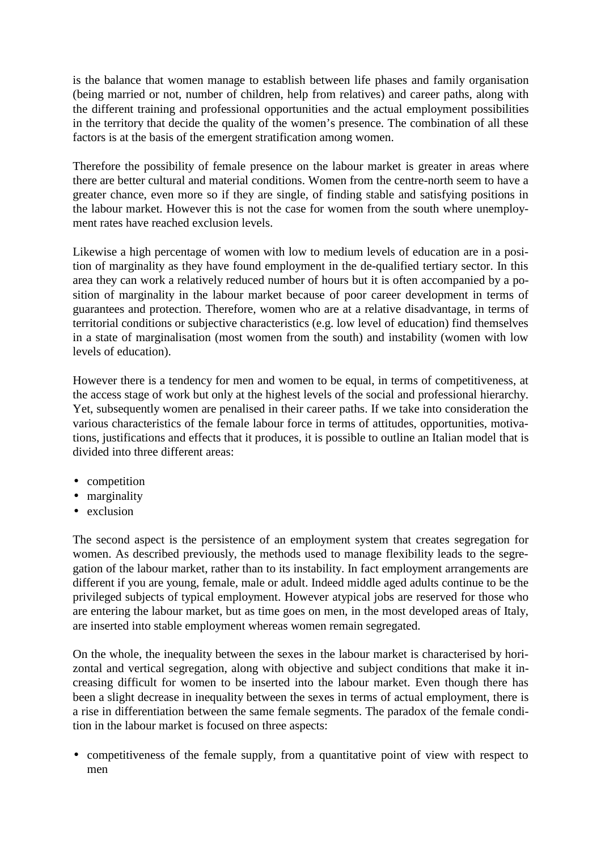is the balance that women manage to establish between life phases and family organisation (being married or not, number of children, help from relatives) and career paths, along with the different training and professional opportunities and the actual employment possibilities in the territory that decide the quality of the women's presence. The combination of all these factors is at the basis of the emergent stratification among women.

Therefore the possibility of female presence on the labour market is greater in areas where there are better cultural and material conditions. Women from the centre-north seem to have a greater chance, even more so if they are single, of finding stable and satisfying positions in the labour market. However this is not the case for women from the south where unemployment rates have reached exclusion levels.

Likewise a high percentage of women with low to medium levels of education are in a position of marginality as they have found employment in the de-qualified tertiary sector. In this area they can work a relatively reduced number of hours but it is often accompanied by a position of marginality in the labour market because of poor career development in terms of guarantees and protection. Therefore, women who are at a relative disadvantage, in terms of territorial conditions or subjective characteristics (e.g. low level of education) find themselves in a state of marginalisation (most women from the south) and instability (women with low levels of education).

However there is a tendency for men and women to be equal, in terms of competitiveness, at the access stage of work but only at the highest levels of the social and professional hierarchy. Yet, subsequently women are penalised in their career paths. If we take into consideration the various characteristics of the female labour force in terms of attitudes, opportunities, motivations, justifications and effects that it produces, it is possible to outline an Italian model that is divided into three different areas:

- competition
- marginality
- exclusion

The second aspect is the persistence of an employment system that creates segregation for women. As described previously, the methods used to manage flexibility leads to the segregation of the labour market, rather than to its instability. In fact employment arrangements are different if you are young, female, male or adult. Indeed middle aged adults continue to be the privileged subjects of typical employment. However atypical jobs are reserved for those who are entering the labour market, but as time goes on men, in the most developed areas of Italy, are inserted into stable employment whereas women remain segregated.

On the whole, the inequality between the sexes in the labour market is characterised by horizontal and vertical segregation, along with objective and subject conditions that make it increasing difficult for women to be inserted into the labour market. Even though there has been a slight decrease in inequality between the sexes in terms of actual employment, there is a rise in differentiation between the same female segments. The paradox of the female condition in the labour market is focused on three aspects:

• competitiveness of the female supply, from a quantitative point of view with respect to men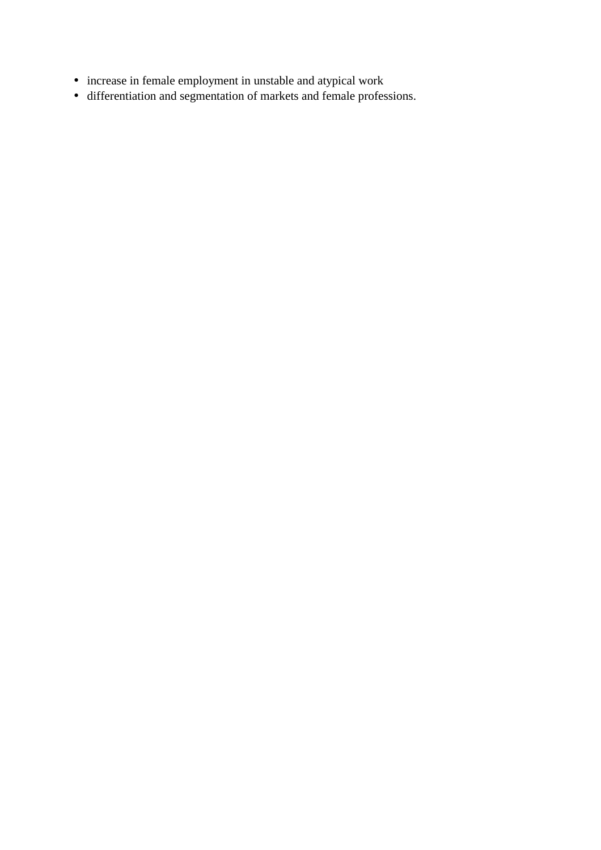- increase in female employment in unstable and atypical work
- differentiation and segmentation of markets and female professions.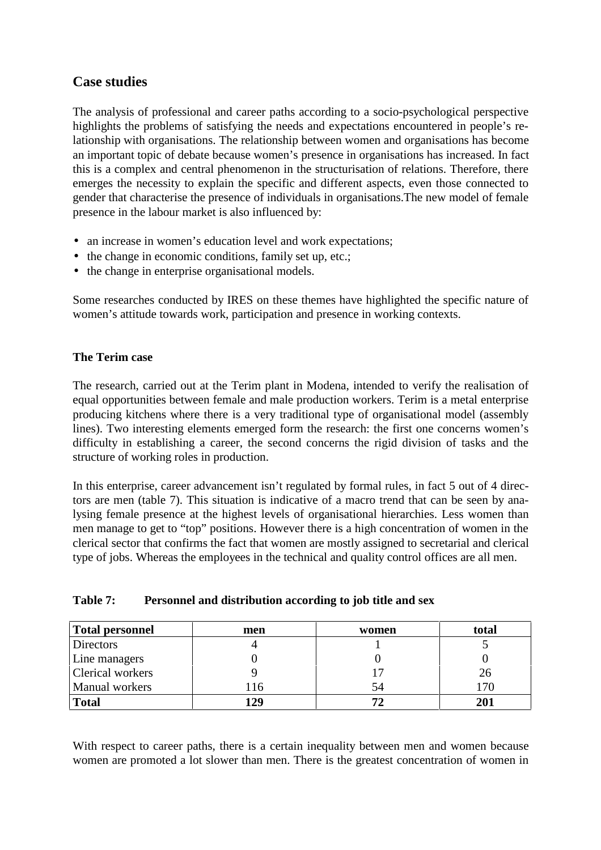# **Case studies**

The analysis of professional and career paths according to a socio-psychological perspective highlights the problems of satisfying the needs and expectations encountered in people's relationship with organisations. The relationship between women and organisations has become an important topic of debate because women's presence in organisations has increased. In fact this is a complex and central phenomenon in the structurisation of relations. Therefore, there emerges the necessity to explain the specific and different aspects, even those connected to gender that characterise the presence of individuals in organisations.The new model of female presence in the labour market is also influenced by:

- an increase in women's education level and work expectations;
- the change in economic conditions, family set up, etc.;
- the change in enterprise organisational models.

Some researches conducted by IRES on these themes have highlighted the specific nature of women's attitude towards work, participation and presence in working contexts.

#### **The Terim case**

The research, carried out at the Terim plant in Modena, intended to verify the realisation of equal opportunities between female and male production workers. Terim is a metal enterprise producing kitchens where there is a very traditional type of organisational model (assembly lines). Two interesting elements emerged form the research: the first one concerns women's difficulty in establishing a career, the second concerns the rigid division of tasks and the structure of working roles in production.

In this enterprise, career advancement isn't regulated by formal rules, in fact 5 out of 4 directors are men (table 7). This situation is indicative of a macro trend that can be seen by analysing female presence at the highest levels of organisational hierarchies. Less women than men manage to get to "top" positions. However there is a high concentration of women in the clerical sector that confirms the fact that women are mostly assigned to secretarial and clerical type of jobs. Whereas the employees in the technical and quality control offices are all men.

| <b>Total personnel</b> | men | women | total        |
|------------------------|-----|-------|--------------|
| <b>Directors</b>       |     |       |              |
| Line managers          |     |       |              |
| Clerical workers       |     |       | 26           |
| Manual workers         | 116 | 54    | 70           |
| <b>Total</b>           | 129 |       | $20^{\circ}$ |

#### **Table 7: Personnel and distribution according to job title and sex**

With respect to career paths, there is a certain inequality between men and women because women are promoted a lot slower than men. There is the greatest concentration of women in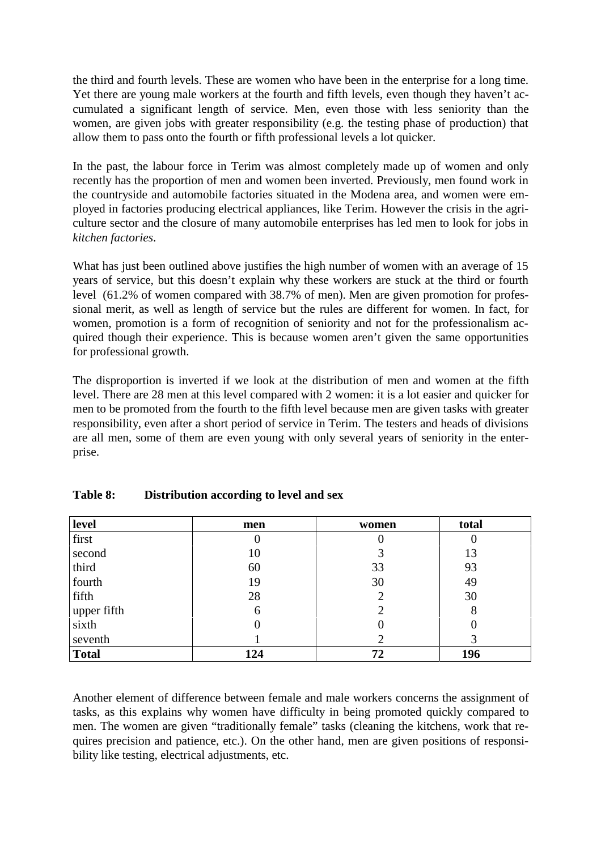the third and fourth levels. These are women who have been in the enterprise for a long time. Yet there are young male workers at the fourth and fifth levels, even though they haven't accumulated a significant length of service. Men, even those with less seniority than the women, are given jobs with greater responsibility (e.g. the testing phase of production) that allow them to pass onto the fourth or fifth professional levels a lot quicker.

In the past, the labour force in Terim was almost completely made up of women and only recently has the proportion of men and women been inverted. Previously, men found work in the countryside and automobile factories situated in the Modena area, and women were employed in factories producing electrical appliances, like Terim. However the crisis in the agriculture sector and the closure of many automobile enterprises has led men to look for jobs in *kitchen factories*.

What has just been outlined above justifies the high number of women with an average of 15 years of service, but this doesn't explain why these workers are stuck at the third or fourth level (61.2% of women compared with 38.7% of men). Men are given promotion for professional merit, as well as length of service but the rules are different for women. In fact, for women, promotion is a form of recognition of seniority and not for the professionalism acquired though their experience. This is because women aren't given the same opportunities for professional growth.

The disproportion is inverted if we look at the distribution of men and women at the fifth level. There are 28 men at this level compared with 2 women: it is a lot easier and quicker for men to be promoted from the fourth to the fifth level because men are given tasks with greater responsibility, even after a short period of service in Terim. The testers and heads of divisions are all men, some of them are even young with only several years of seniority in the enterprise.

| level        | men | women | total |
|--------------|-----|-------|-------|
| first        | U   | υ     |       |
| second       | 10  | 3     | 13    |
| third        | 60  | 33    | 93    |
| fourth       | 19  | 30    | 49    |
| fifth        | 28  | 2     | 30    |
| upper fifth  | 6   |       | 8     |
| sixth        |     |       |       |
| seventh      |     |       |       |
| <b>Total</b> | 124 | 72    | 196   |

#### **Table 8: Distribution according to level and sex**

Another element of difference between female and male workers concerns the assignment of tasks, as this explains why women have difficulty in being promoted quickly compared to men. The women are given "traditionally female" tasks (cleaning the kitchens, work that requires precision and patience, etc.). On the other hand, men are given positions of responsibility like testing, electrical adjustments, etc.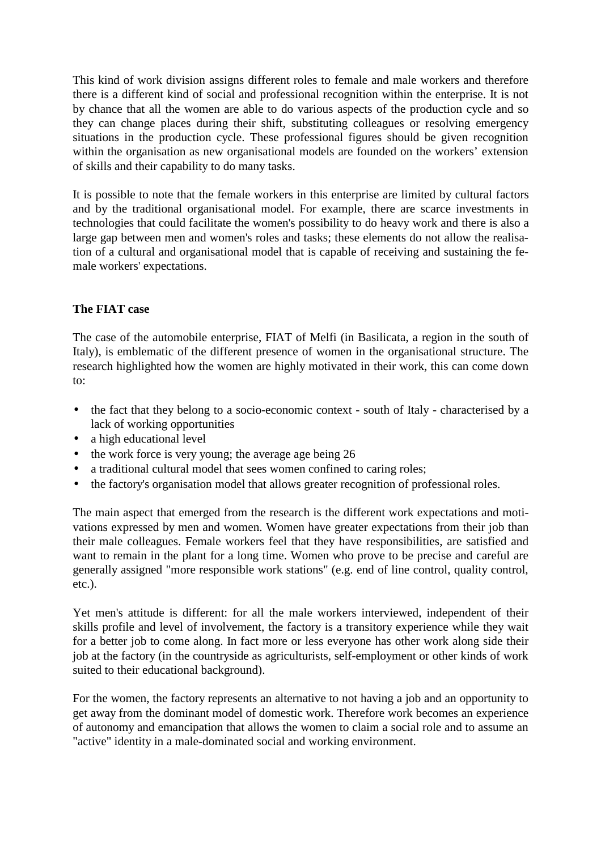This kind of work division assigns different roles to female and male workers and therefore there is a different kind of social and professional recognition within the enterprise. It is not by chance that all the women are able to do various aspects of the production cycle and so they can change places during their shift, substituting colleagues or resolving emergency situations in the production cycle. These professional figures should be given recognition within the organisation as new organisational models are founded on the workers' extension of skills and their capability to do many tasks.

It is possible to note that the female workers in this enterprise are limited by cultural factors and by the traditional organisational model. For example, there are scarce investments in technologies that could facilitate the women's possibility to do heavy work and there is also a large gap between men and women's roles and tasks; these elements do not allow the realisation of a cultural and organisational model that is capable of receiving and sustaining the female workers' expectations.

#### **The FIAT case**

The case of the automobile enterprise, FIAT of Melfi (in Basilicata, a region in the south of Italy), is emblematic of the different presence of women in the organisational structure. The research highlighted how the women are highly motivated in their work, this can come down to:

- the fact that they belong to a socio-economic context south of Italy characterised by a lack of working opportunities
- a high educational level
- the work force is very young; the average age being 26
- a traditional cultural model that sees women confined to caring roles;
- the factory's organisation model that allows greater recognition of professional roles.

The main aspect that emerged from the research is the different work expectations and motivations expressed by men and women. Women have greater expectations from their job than their male colleagues. Female workers feel that they have responsibilities, are satisfied and want to remain in the plant for a long time. Women who prove to be precise and careful are generally assigned "more responsible work stations" (e.g. end of line control, quality control, etc.).

Yet men's attitude is different: for all the male workers interviewed, independent of their skills profile and level of involvement, the factory is a transitory experience while they wait for a better job to come along. In fact more or less everyone has other work along side their job at the factory (in the countryside as agriculturists, self-employment or other kinds of work suited to their educational background).

For the women, the factory represents an alternative to not having a job and an opportunity to get away from the dominant model of domestic work. Therefore work becomes an experience of autonomy and emancipation that allows the women to claim a social role and to assume an "active" identity in a male-dominated social and working environment.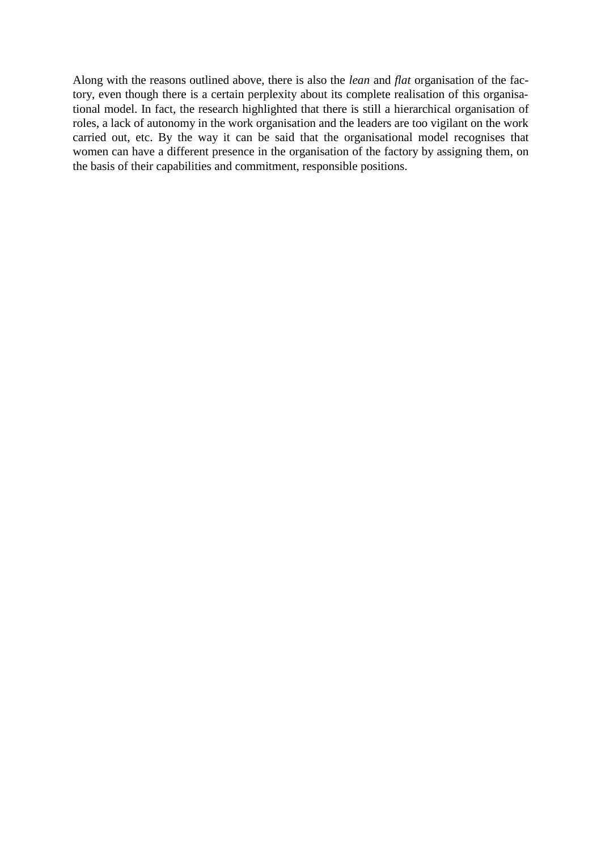Along with the reasons outlined above, there is also the *lean* and *flat* organisation of the factory, even though there is a certain perplexity about its complete realisation of this organisational model. In fact, the research highlighted that there is still a hierarchical organisation of roles, a lack of autonomy in the work organisation and the leaders are too vigilant on the work carried out, etc. By the way it can be said that the organisational model recognises that women can have a different presence in the organisation of the factory by assigning them, on the basis of their capabilities and commitment, responsible positions.